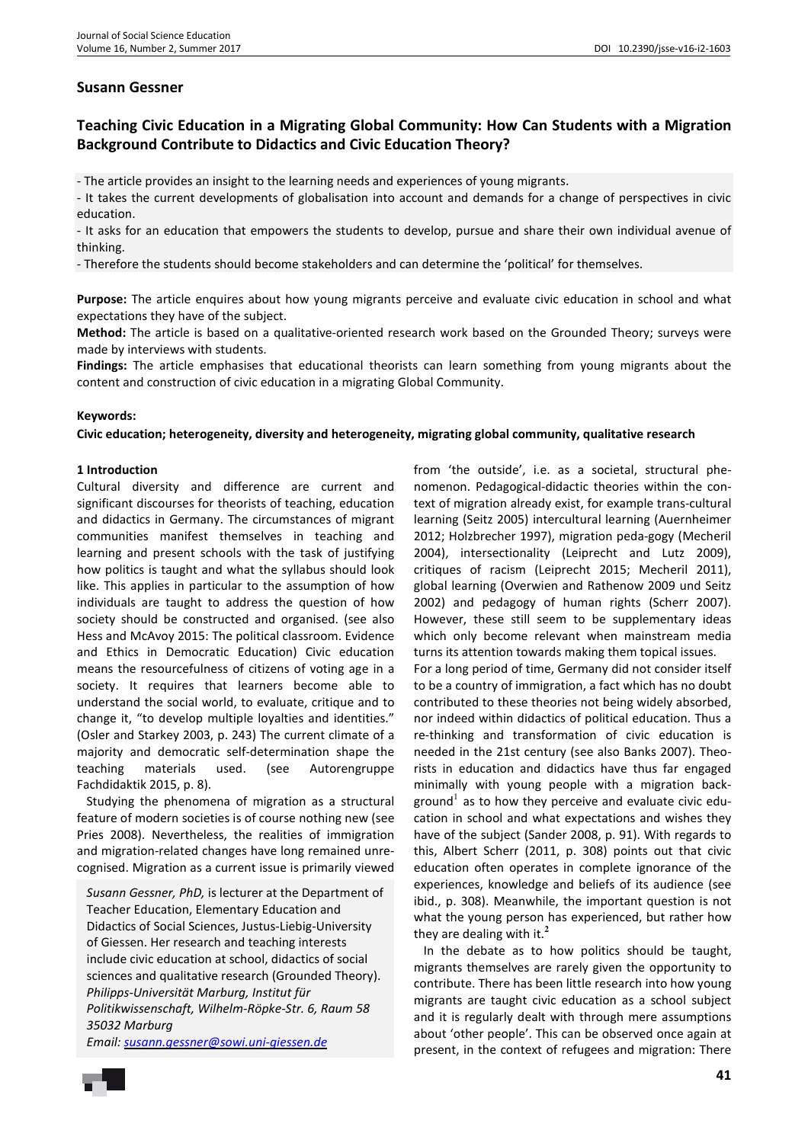## **Susann Gessner**

# **Teaching Civic Education in a Migrating Global Community: How Can Students with a Migration Background Contribute to Didactics and Civic Education Theory?**

- The article provides an insight to the learning needs and experiences of young migrants.

- It takes the current developments of globalisation into account and demands for a change of perspectives in civic education.

- It asks for an education that empowers the students to develop, pursue and share their own individual avenue of thinking.

- Therefore the students should become stakeholders and can determine the 'political' for themselves.

**Purpose:** The article enquires about how young migrants perceive and evaluate civic education in school and what expectations they have of the subject.

**Method:** The article is based on a qualitative-oriented research work based on the Grounded Theory; surveys were made by interviews with students.

**Findings:** The article emphasises that educational theorists can learn something from young migrants about the content and construction of civic education in a migrating Global Community.

#### **Keywords:**

**Civic education; heterogeneity, diversity and heterogeneity, migrating global community, qualitative research** 

#### **1 Introduction**

Cultural diversity and difference are current and significant discourses for theorists of teaching, education and didactics in Germany. The circumstances of migrant communities manifest themselves in teaching and learning and present schools with the task of justifying how politics is taught and what the syllabus should look like. This applies in particular to the assumption of how individuals are taught to address the question of how society should be constructed and organised. (see also Hess and McAvoy 2015: The political classroom. Evidence and Ethics in Democratic Education) Civic education means the resourcefulness of citizens of voting age in a society. It requires that learners become able to understand the social world, to evaluate, critique and to change it, "to develop multiple loyalties and identities." (Osler and Starkey 2003, p. 243) The current climate of a majority and democratic self-determination shape the teaching materials used. (see Autorengruppe Fachdidaktik 2015, p. 8).

Studying the phenomena of migration as a structural feature of modern societies is of course nothing new (see Pries 2008). Nevertheless, the realities of immigration and migration-related changes have long remained unrecognised. Migration as a current issue is primarily viewed

*Susann Gessner, PhD,* is lecturer at the Department of Teacher Education, Elementary Education and Didactics of Social Sciences, Justus-Liebig-University of Giessen. Her research and teaching interests include civic education at school, didactics of social sciences and qualitative research (Grounded Theory). *Philipps-Universität Marburg, Institut für Politikwissenschaft, Wilhelm-Röpke-Str. 6, Raum 58 35032 Marburg*

*Email: susann.gessner@sowi.uni-giessen.de*

from 'the outside', i.e. as a societal, structural phenomenon. Pedagogical-didactic theories within the context of migration already exist, for example trans-cultural learning (Seitz 2005) intercultural learning (Auernheimer 2012; Holzbrecher 1997), migration peda-gogy (Mecheril 2004), intersectionality (Leiprecht and Lutz 2009), critiques of racism (Leiprecht 2015; Mecheril 2011), global learning (Overwien and Rathenow 2009 und Seitz 2002) and pedagogy of human rights (Scherr 2007). However, these still seem to be supplementary ideas which only become relevant when mainstream media turns its attention towards making them topical issues. For a long period of time, Germany did not consider itself to be a country of immigration, a fact which has no doubt contributed to these theories not being widely absorbed, nor indeed within didactics of political education. Thus a re-thinking and transformation of civic education is needed in the 21st century (see also Banks 2007). Theorists in education and didactics have thus far engaged minimally with young people with a migration background<sup>1</sup> as to how they perceive and evaluate civic education in school and what expectations and wishes they have of the subject (Sander 2008, p. 91). With regards to this, Albert Scherr (2011, p. 308) points out that civic education often operates in complete ignorance of the experiences, knowledge and beliefs of its audience (see ibid., p. 308). Meanwhile, the important question is not what the young person has experienced, but rather how they are dealing with it.**<sup>2</sup>** 

In the debate as to how politics should be taught, migrants themselves are rarely given the opportunity to contribute. There has been little research into how young migrants are taught civic education as a school subject and it is regularly dealt with through mere assumptions about 'other people'. This can be observed once again at present, in the context of refugees and migration: There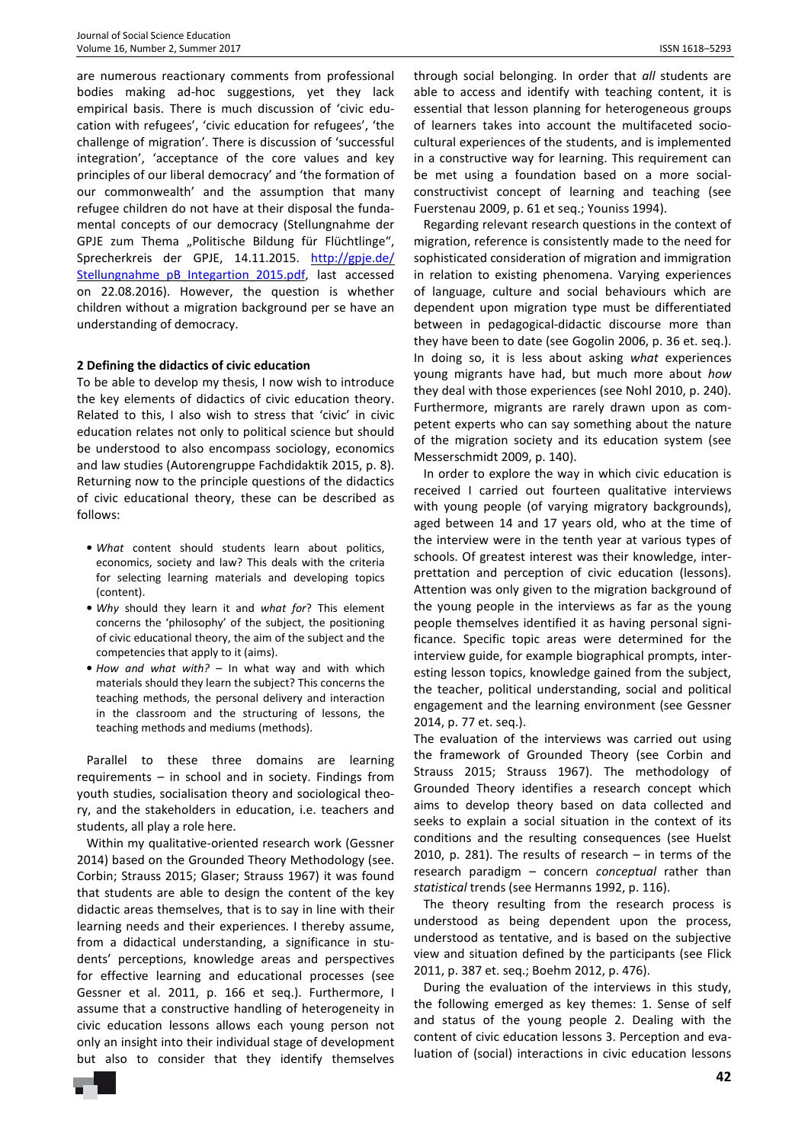are numerous reactionary comments from professional bodies making ad-hoc suggestions, yet they lack empirical basis. There is much discussion of 'civic education with refugees', 'civic education for refugees', 'the challenge of migration'. There is discussion of 'successful integration', 'acceptance of the core values and key principles of our liberal democracy' and 'the formation of our commonwealth' and the assumption that many refugee children do not have at their disposal the fundamental concepts of our democracy (Stellungnahme der GPJE zum Thema "Politische Bildung für Flüchtlinge", Sprecherkreis der GPJE, 14.11.2015. http://gpje.de/ Stellungnahme\_pB\_Integartion\_2015.pdf, last accessed on 22.08.2016). However, the question is whether children without a migration background per se have an understanding of democracy.

## **2 Defining the didactics of civic education**

To be able to develop my thesis, I now wish to introduce the key elements of didactics of civic education theory. Related to this, I also wish to stress that 'civic' in civic education relates not only to political science but should be understood to also encompass sociology, economics and law studies (Autorengruppe Fachdidaktik 2015, p. 8). Returning now to the principle questions of the didactics of civic educational theory, these can be described as follows:

- *What* content should students learn about politics, economics, society and law? This deals with the criteria for selecting learning materials and developing topics (content).
- *Why* should they learn it and *what for*? This element concerns the 'philosophy' of the subject, the positioning of civic educational theory, the aim of the subject and the competencies that apply to it (aims).
- *How and what with?* In what way and with which materials should they learn the subject? This concerns the teaching methods, the personal delivery and interaction in the classroom and the structuring of lessons, the teaching methods and mediums (methods).

Parallel to these three domains are learning requirements – in school and in society. Findings from youth studies, socialisation theory and sociological theory, and the stakeholders in education, i.e. teachers and students, all play a role here.

Within my qualitative-oriented research work (Gessner 2014) based on the Grounded Theory Methodology (see. Corbin; Strauss 2015; Glaser; Strauss 1967) it was found that students are able to design the content of the key didactic areas themselves, that is to say in line with their learning needs and their experiences. I thereby assume, from a didactical understanding, a significance in students' perceptions, knowledge areas and perspectives for effective learning and educational processes (see Gessner et al. 2011, p. 166 et seq.). Furthermore, I assume that a constructive handling of heterogeneity in civic education lessons allows each young person not only an insight into their individual stage of development but also to consider that they identify themselves

through social belonging. In order that *all* students are able to access and identify with teaching content, it is essential that lesson planning for heterogeneous groups of learners takes into account the multifaceted sociocultural experiences of the students, and is implemented in a constructive way for learning. This requirement can be met using a foundation based on a more socialconstructivist concept of learning and teaching (see Fuerstenau 2009, p. 61 et seq.; Youniss 1994).

Regarding relevant research questions in the context of migration, reference is consistently made to the need for sophisticated consideration of migration and immigration in relation to existing phenomena. Varying experiences of language, culture and social behaviours which are dependent upon migration type must be differentiated between in pedagogical-didactic discourse more than they have been to date (see Gogolin 2006, p. 36 et. seq.). In doing so, it is less about asking *what* experiences young migrants have had, but much more about *how* they deal with those experiences (see Nohl 2010, p. 240). Furthermore, migrants are rarely drawn upon as competent experts who can say something about the nature of the migration society and its education system (see Messerschmidt 2009, p. 140).

In order to explore the way in which civic education is received I carried out fourteen qualitative interviews with young people (of varying migratory backgrounds), aged between 14 and 17 years old, who at the time of the interview were in the tenth year at various types of schools. Of greatest interest was their knowledge, interprettation and perception of civic education (lessons). Attention was only given to the migration background of the young people in the interviews as far as the young people themselves identified it as having personal significance. Specific topic areas were determined for the interview guide, for example biographical prompts, interesting lesson topics, knowledge gained from the subject, the teacher, political understanding, social and political engagement and the learning environment (see Gessner 2014, p. 77 et. seq.).

The evaluation of the interviews was carried out using the framework of Grounded Theory (see Corbin and Strauss 2015; Strauss 1967). The methodology of Grounded Theory identifies a research concept which aims to develop theory based on data collected and seeks to explain a social situation in the context of its conditions and the resulting consequences (see Huelst 2010, p. 281). The results of research – in terms of the research paradigm – concern *conceptual* rather than *statistical* trends (see Hermanns 1992, p. 116).

The theory resulting from the research process is understood as being dependent upon the process, understood as tentative, and is based on the subjective view and situation defined by the participants (see Flick 2011, p. 387 et. seq.; Boehm 2012, p. 476).

During the evaluation of the interviews in this study, the following emerged as key themes: 1. Sense of self and status of the young people 2. Dealing with the content of civic education lessons 3. Perception and evaluation of (social) interactions in civic education lessons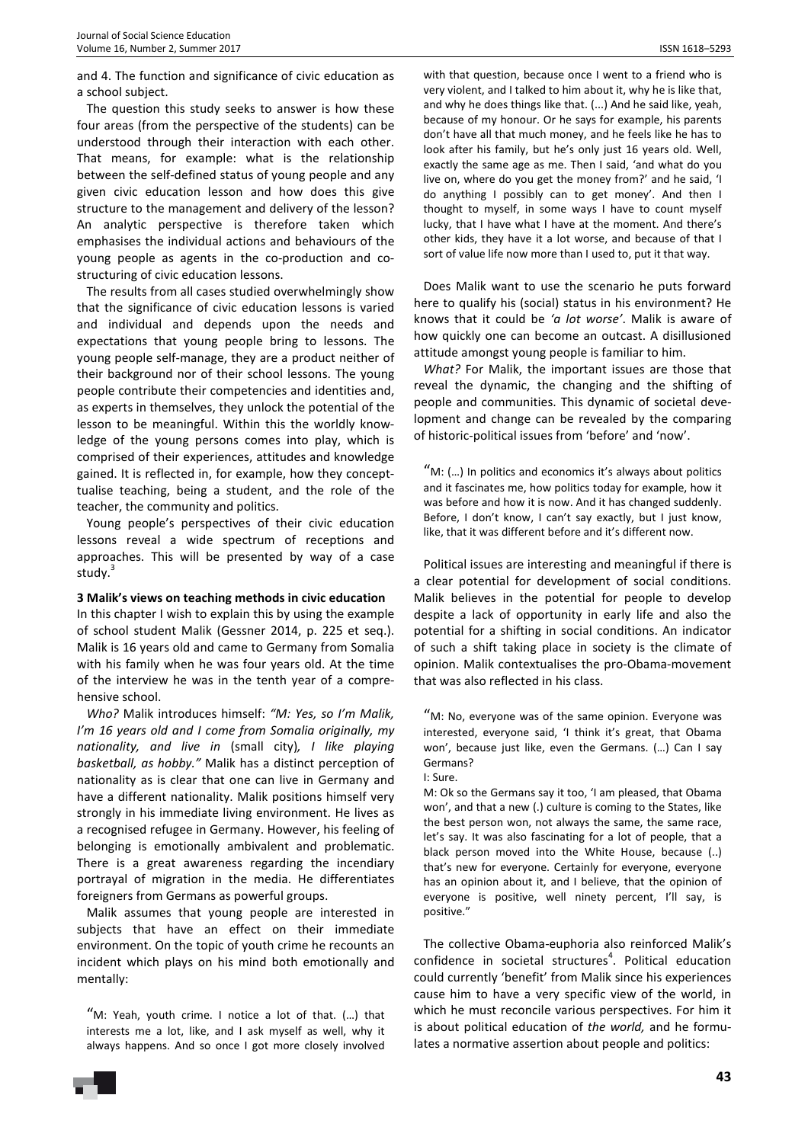and 4. The function and significance of civic education as a school subject.

The question this study seeks to answer is how these four areas (from the perspective of the students) can be understood through their interaction with each other. That means, for example: what is the relationship between the self-defined status of young people and any given civic education lesson and how does this give structure to the management and delivery of the lesson? An analytic perspective is therefore taken which emphasises the individual actions and behaviours of the young people as agents in the co-production and costructuring of civic education lessons.

The results from all cases studied overwhelmingly show that the significance of civic education lessons is varied and individual and depends upon the needs and expectations that young people bring to lessons. The young people self-manage, they are a product neither of their background nor of their school lessons. The young people contribute their competencies and identities and, as experts in themselves, they unlock the potential of the lesson to be meaningful. Within this the worldly knowledge of the young persons comes into play, which is comprised of their experiences, attitudes and knowledge gained. It is reflected in, for example, how they concepttualise teaching, being a student, and the role of the teacher, the community and politics.

Young people's perspectives of their civic education lessons reveal a wide spectrum of receptions and approaches. This will be presented by way of a case study.<sup>3</sup>

#### **3 Malik's views on teaching methods in civic education**

In this chapter I wish to explain this by using the example of school student Malik (Gessner 2014, p. 225 et seq.). Malik is 16 years old and came to Germany from Somalia with his family when he was four years old. At the time of the interview he was in the tenth year of a comprehensive school.

*Who?* Malik introduces himself: *"M: Yes, so I'm Malik, I'm 16 years old and I come from Somalia originally, my nationality, and live in* (small city)*, I like playing basketball, as hobby."* Malik has a distinct perception of nationality as is clear that one can live in Germany and have a different nationality. Malik positions himself very strongly in his immediate living environment. He lives as a recognised refugee in Germany. However, his feeling of belonging is emotionally ambivalent and problematic. There is a great awareness regarding the incendiary portrayal of migration in the media. He differentiates foreigners from Germans as powerful groups.

Malik assumes that young people are interested in subjects that have an effect on their immediate environment. On the topic of youth crime he recounts an incident which plays on his mind both emotionally and mentally:

"M: Yeah, youth crime. I notice a lot of that. (…) that interests me a lot, like, and I ask myself as well, why it always happens. And so once I got more closely involved

with that question, because once I went to a friend who is very violent, and I talked to him about it, why he is like that, and why he does things like that. (...) And he said like, yeah, because of my honour. Or he says for example, his parents don't have all that much money, and he feels like he has to look after his family, but he's only just 16 years old. Well, exactly the same age as me. Then I said, 'and what do you live on, where do you get the money from?' and he said, 'I do anything I possibly can to get money'. And then I thought to myself, in some ways I have to count myself lucky, that I have what I have at the moment. And there's other kids, they have it a lot worse, and because of that I sort of value life now more than I used to, put it that way.

Does Malik want to use the scenario he puts forward here to qualify his (social) status in his environment? He knows that it could be *'a lot worse'*. Malik is aware of how quickly one can become an outcast. A disillusioned attitude amongst young people is familiar to him.

*What?* For Malik, the important issues are those that reveal the dynamic, the changing and the shifting of people and communities. This dynamic of societal development and change can be revealed by the comparing of historic-political issues from 'before' and 'now'.

"M: (...) In politics and economics it's always about politics and it fascinates me, how politics today for example, how it was before and how it is now. And it has changed suddenly. Before, I don't know, I can't say exactly, but I just know, like, that it was different before and it's different now.

Political issues are interesting and meaningful if there is a clear potential for development of social conditions. Malik believes in the potential for people to develop despite a lack of opportunity in early life and also the potential for a shifting in social conditions. An indicator of such a shift taking place in society is the climate of opinion. Malik contextualises the pro-Obama-movement that was also reflected in his class.

"M: No, everyone was of the same opinion. Everyone was interested, everyone said, 'I think it's great, that Obama won', because just like, even the Germans. (…) Can I say Germans?

I: Sure.

M: Ok so the Germans say it too, 'I am pleased, that Obama won', and that a new (.) culture is coming to the States, like the best person won, not always the same, the same race, let's say. It was also fascinating for a lot of people, that a black person moved into the White House, because (..) that's new for everyone. Certainly for everyone, everyone has an opinion about it, and I believe, that the opinion of everyone is positive, well ninety percent, I'll say, is positive."

The collective Obama-euphoria also reinforced Malik's confidence in societal structures<sup>4</sup>. Political education could currently 'benefit' from Malik since his experiences cause him to have a very specific view of the world, in which he must reconcile various perspectives. For him it is about political education of *the world,* and he formulates a normative assertion about people and politics: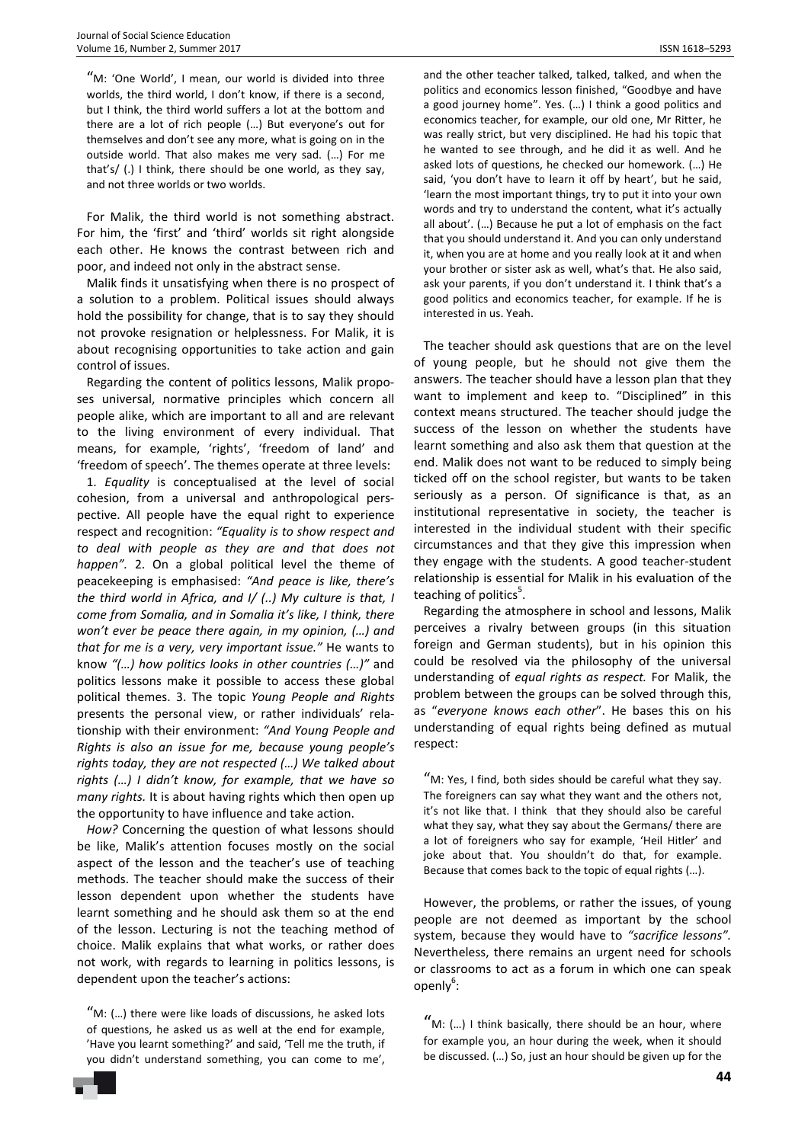"M: 'One World', I mean, our world is divided into three worlds, the third world, I don't know, if there is a second, but I think, the third world suffers a lot at the bottom and there are a lot of rich people (…) But everyone's out for themselves and don't see any more, what is going on in the outside world. That also makes me very sad. (…) For me that's/ (.) I think, there should be one world, as they say, and not three worlds or two worlds.

For Malik, the third world is not something abstract. For him, the 'first' and 'third' worlds sit right alongside each other. He knows the contrast between rich and poor, and indeed not only in the abstract sense.

Malik finds it unsatisfying when there is no prospect of a solution to a problem. Political issues should always hold the possibility for change, that is to say they should not provoke resignation or helplessness. For Malik, it is about recognising opportunities to take action and gain control of issues.

Regarding the content of politics lessons, Malik proposes universal, normative principles which concern all people alike, which are important to all and are relevant to the living environment of every individual. That means, for example, 'rights', 'freedom of land' and 'freedom of speech'. The themes operate at three levels:

1. *Equality* is conceptualised at the level of social cohesion, from a universal and anthropological perspective. All people have the equal right to experience respect and recognition: *"Equality is to show respect and to deal with people as they are and that does not happen".* 2. On a global political level the theme of peacekeeping is emphasised: *"And peace is like, there's the third world in Africa, and I/ (..) My culture is that, I come from Somalia, and in Somalia it's like, I think, there won't ever be peace there again, in my opinion, (…) and that for me is a very, very important issue."* He wants to know *"(…) how politics looks in other countries (…)"* and politics lessons make it possible to access these global political themes. 3. The topic *Young People and Rights*  presents the personal view, or rather individuals' relationship with their environment: *"And Young People and Rights is also an issue for me, because young people's rights today, they are not respected (…) We talked about rights (…) I didn't know, for example, that we have so many rights.* It is about having rights which then open up the opportunity to have influence and take action.

*How?* Concerning the question of what lessons should be like, Malik's attention focuses mostly on the social aspect of the lesson and the teacher's use of teaching methods. The teacher should make the success of their lesson dependent upon whether the students have learnt something and he should ask them so at the end of the lesson. Lecturing is not the teaching method of choice. Malik explains that what works, or rather does not work, with regards to learning in politics lessons, is dependent upon the teacher's actions:

"M: (…) there were like loads of discussions, he asked lots of questions, he asked us as well at the end for example, 'Have you learnt something?' and said, 'Tell me the truth, if you didn't understand something, you can come to me',

and the other teacher talked, talked, talked, and when the politics and economics lesson finished, "Goodbye and have a good journey home". Yes. (…) I think a good politics and economics teacher, for example, our old one, Mr Ritter, he was really strict, but very disciplined. He had his topic that he wanted to see through, and he did it as well. And he asked lots of questions, he checked our homework. (…) He said, 'you don't have to learn it off by heart', but he said, 'learn the most important things, try to put it into your own words and try to understand the content, what it's actually all about'. (…) Because he put a lot of emphasis on the fact that you should understand it. And you can only understand it, when you are at home and you really look at it and when your brother or sister ask as well, what's that. He also said, ask your parents, if you don't understand it. I think that's a good politics and economics teacher, for example. If he is interested in us. Yeah.

The teacher should ask questions that are on the level of young people, but he should not give them the answers. The teacher should have a lesson plan that they want to implement and keep to. "Disciplined" in this context means structured. The teacher should judge the success of the lesson on whether the students have learnt something and also ask them that question at the end. Malik does not want to be reduced to simply being ticked off on the school register, but wants to be taken seriously as a person. Of significance is that, as an institutional representative in society, the teacher is interested in the individual student with their specific circumstances and that they give this impression when they engage with the students. A good teacher-student relationship is essential for Malik in his evaluation of the teaching of politics<sup>5</sup>.

Regarding the atmosphere in school and lessons, Malik perceives a rivalry between groups (in this situation foreign and German students), but in his opinion this could be resolved via the philosophy of the universal understanding of *equal rights as respect.* For Malik, the problem between the groups can be solved through this, as "*everyone knows each other*". He bases this on his understanding of equal rights being defined as mutual respect:

"M: Yes, I find, both sides should be careful what they say. The foreigners can say what they want and the others not, it's not like that. I think that they should also be careful what they say, what they say about the Germans/ there are a lot of foreigners who say for example, 'Heil Hitler' and joke about that. You shouldn't do that, for example. Because that comes back to the topic of equal rights (…).

However, the problems, or rather the issues, of young people are not deemed as important by the school system, because they would have to *"sacrifice lessons".* Nevertheless, there remains an urgent need for schools or classrooms to act as a forum in which one can speak openly<sup>6</sup>:

"M: (...) I think basically, there should be an hour, where for example you, an hour during the week, when it should be discussed. (…) So, just an hour should be given up for the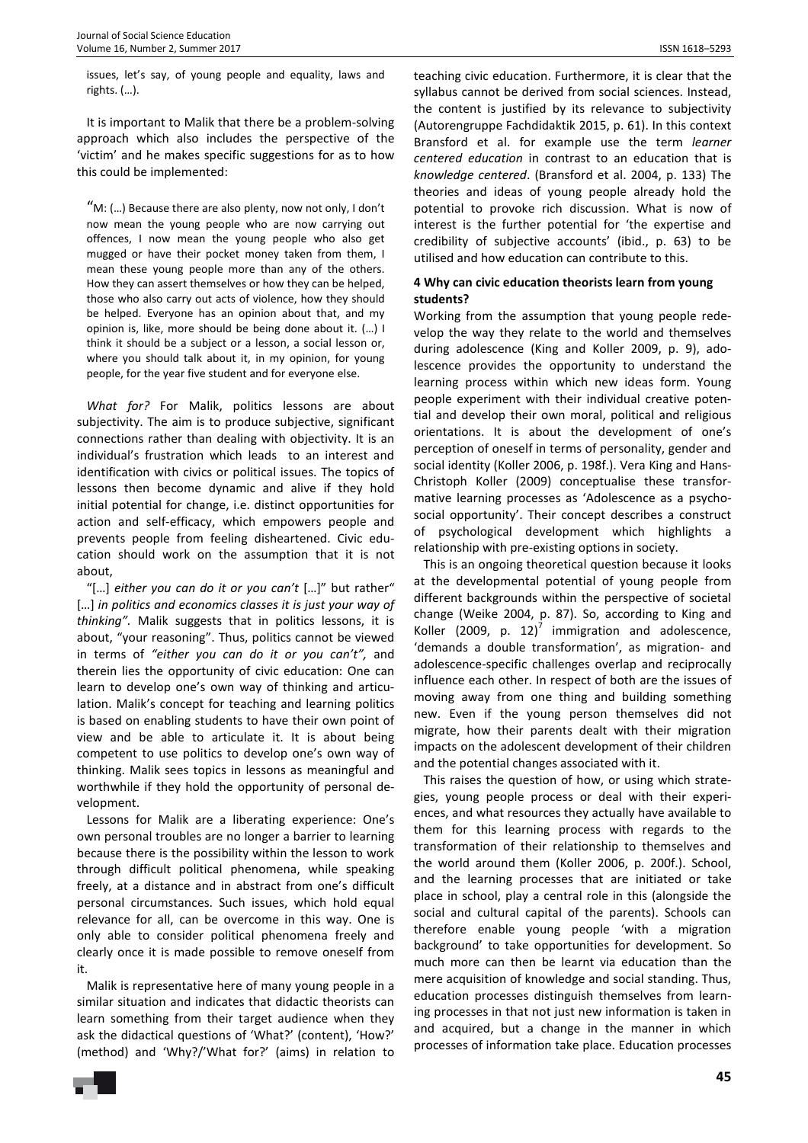issues, let's say, of young people and equality, laws and rights. (…).

It is important to Malik that there be a problem-solving approach which also includes the perspective of the 'victim' and he makes specific suggestions for as to how this could be implemented:

"M: (…) Because there are also plenty, now not only, I don't now mean the young people who are now carrying out offences, I now mean the young people who also get mugged or have their pocket money taken from them, I mean these young people more than any of the others. How they can assert themselves or how they can be helped, those who also carry out acts of violence, how they should be helped. Everyone has an opinion about that, and my opinion is, like, more should be being done about it. (…) I think it should be a subject or a lesson, a social lesson or, where you should talk about it, in my opinion, for young people, for the year five student and for everyone else.

*What for?* For Malik, politics lessons are about subjectivity. The aim is to produce subjective, significant connections rather than dealing with objectivity. It is an individual's frustration which leads to an interest and identification with civics or political issues. The topics of lessons then become dynamic and alive if they hold initial potential for change, i.e. distinct opportunities for action and self-efficacy, which empowers people and prevents people from feeling disheartened. Civic education should work on the assumption that it is not about,

"[…] *either you can do it or you can't* […]" but rather" [...] *in politics and economics classes it is just your way of thinking".* Malik suggests that in politics lessons, it is about, "your reasoning". Thus, politics cannot be viewed in terms of *"either you can do it or you can't",* and therein lies the opportunity of civic education: One can learn to develop one's own way of thinking and articulation. Malik's concept for teaching and learning politics is based on enabling students to have their own point of view and be able to articulate it. It is about being competent to use politics to develop one's own way of thinking. Malik sees topics in lessons as meaningful and worthwhile if they hold the opportunity of personal development.

Lessons for Malik are a liberating experience: One's own personal troubles are no longer a barrier to learning because there is the possibility within the lesson to work through difficult political phenomena, while speaking freely, at a distance and in abstract from one's difficult personal circumstances. Such issues, which hold equal relevance for all, can be overcome in this way. One is only able to consider political phenomena freely and clearly once it is made possible to remove oneself from it.

Malik is representative here of many young people in a similar situation and indicates that didactic theorists can learn something from their target audience when they ask the didactical questions of 'What?' (content), 'How?' (method) and 'Why?/'What for?' (aims) in relation to

teaching civic education. Furthermore, it is clear that the syllabus cannot be derived from social sciences. Instead, the content is justified by its relevance to subjectivity (Autorengruppe Fachdidaktik 2015, p. 61). In this context Bransford et al. for example use the term *learner centered education* in contrast to an education that is *knowledge centered*. (Bransford et al. 2004, p. 133) The theories and ideas of young people already hold the potential to provoke rich discussion. What is now of interest is the further potential for 'the expertise and credibility of subjective accounts' (ibid., p. 63) to be utilised and how education can contribute to this.

## **4 Why can civic education theorists learn from young students?**

Working from the assumption that young people redevelop the way they relate to the world and themselves during adolescence (King and Koller 2009, p. 9), adolescence provides the opportunity to understand the learning process within which new ideas form. Young people experiment with their individual creative potential and develop their own moral, political and religious orientations. It is about the development of one's perception of oneself in terms of personality, gender and social identity (Koller 2006, p. 198f.). Vera King and Hans-Christoph Koller (2009) conceptualise these transformative learning processes as 'Adolescence as a psychosocial opportunity'. Their concept describes a construct of psychological development which highlights a relationship with pre-existing options in society.

This is an ongoing theoretical question because it looks at the developmental potential of young people from different backgrounds within the perspective of societal change (Weike 2004, p. 87). So, according to King and Koller (2009, p. 12)<sup>7</sup> immigration and adolescence, 'demands a double transformation', as migration- and adolescence-specific challenges overlap and reciprocally influence each other. In respect of both are the issues of moving away from one thing and building something new. Even if the young person themselves did not migrate, how their parents dealt with their migration impacts on the adolescent development of their children and the potential changes associated with it.

This raises the question of how, or using which strategies, young people process or deal with their experiences, and what resources they actually have available to them for this learning process with regards to the transformation of their relationship to themselves and the world around them (Koller 2006, p. 200f.). School, and the learning processes that are initiated or take place in school, play a central role in this (alongside the social and cultural capital of the parents). Schools can therefore enable young people 'with a migration background' to take opportunities for development. So much more can then be learnt via education than the mere acquisition of knowledge and social standing. Thus, education processes distinguish themselves from learning processes in that not just new information is taken in and acquired, but a change in the manner in which processes of information take place. Education processes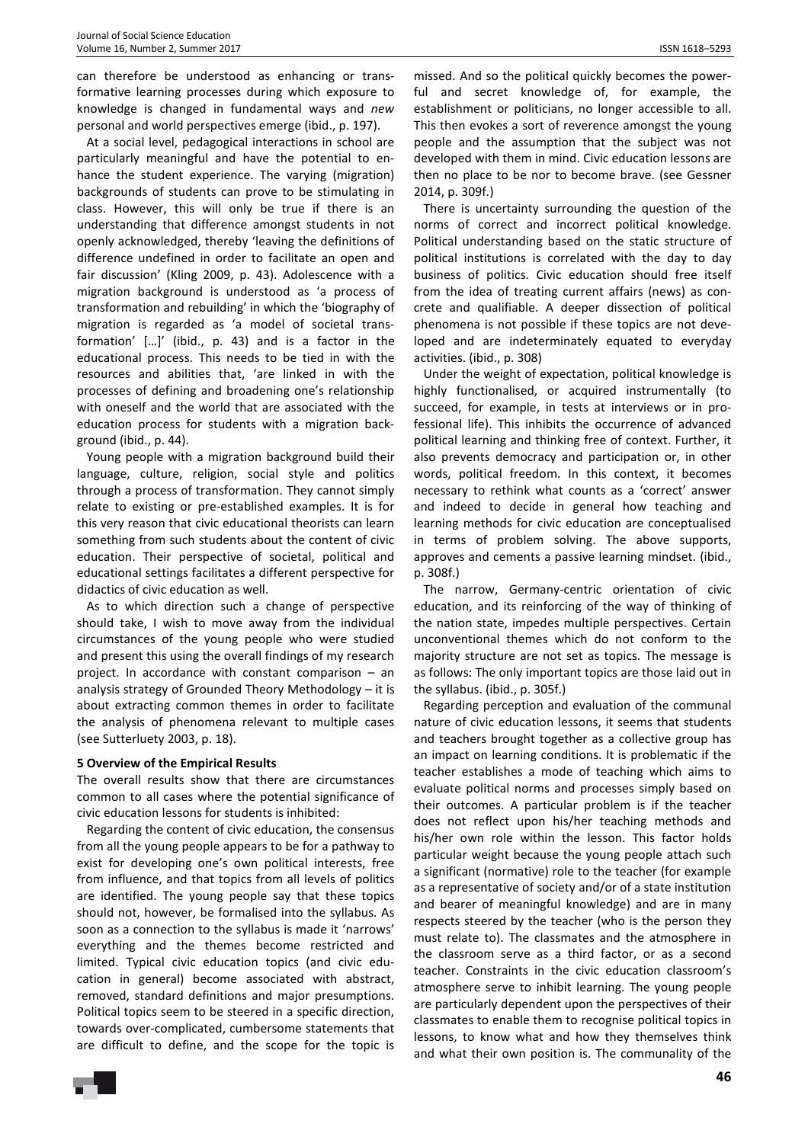can therefore be understood as enhancing or transformative learning processes during which exposure to knowledge is changed in fundamental ways and *new*  personal and world perspectives emerge (ibid., p. 197).

At a social level, pedagogical interactions in school are particularly meaningful and have the potential to enhance the student experience. The varying (migration) backgrounds of students can prove to be stimulating in class. However, this will only be true if there is an understanding that difference amongst students in not openly acknowledged, thereby 'leaving the definitions of difference undefined in order to facilitate an open and fair discussion' (Kling 2009, p. 43). Adolescence with a migration background is understood as 'a process of transformation and rebuilding' in which the 'biography of migration is regarded as 'a model of societal transformation' […]' (ibid., p. 43) and is a factor in the educational process. This needs to be tied in with the resources and abilities that, 'are linked in with the processes of defining and broadening one's relationship with oneself and the world that are associated with the education process for students with a migration background (ibid., p. 44).

Young people with a migration background build their language, culture, religion, social style and politics through a process of transformation. They cannot simply relate to existing or pre-established examples. It is for this very reason that civic educational theorists can learn something from such students about the content of civic education. Their perspective of societal, political and educational settings facilitates a different perspective for didactics of civic education as well.

As to which direction such a change of perspective should take, I wish to move away from the individual circumstances of the young people who were studied and present this using the overall findings of my research project. In accordance with constant comparison – an analysis strategy of Grounded Theory Methodology – it is about extracting common themes in order to facilitate the analysis of phenomena relevant to multiple cases (see Sutterluety 2003, p. 18).

### **5 Overview of the Empirical Results**

The overall results show that there are circumstances common to all cases where the potential significance of civic education lessons for students is inhibited:

Regarding the content of civic education, the consensus from all the young people appears to be for a pathway to exist for developing one's own political interests, free from influence, and that topics from all levels of politics are identified. The young people say that these topics should not, however, be formalised into the syllabus. As soon as a connection to the syllabus is made it 'narrows' everything and the themes become restricted and limited. Typical civic education topics (and civic education in general) become associated with abstract, removed, standard definitions and major presumptions. Political topics seem to be steered in a specific direction, towards over-complicated, cumbersome statements that are difficult to define, and the scope for the topic is

missed. And so the political quickly becomes the powerful and secret knowledge of, for example, the establishment or politicians, no longer accessible to all. This then evokes a sort of reverence amongst the young people and the assumption that the subject was not developed with them in mind. Civic education lessons are then no place to be nor to become brave. (see Gessner 2014, p. 309f.)

There is uncertainty surrounding the question of the norms of correct and incorrect political knowledge. Political understanding based on the static structure of political institutions is correlated with the day to day business of politics. Civic education should free itself from the idea of treating current affairs (news) as concrete and qualifiable. A deeper dissection of political phenomena is not possible if these topics are not developed and are indeterminately equated to everyday activities. (ibid., p. 308)

Under the weight of expectation, political knowledge is highly functionalised, or acquired instrumentally (to succeed, for example, in tests at interviews or in professional life). This inhibits the occurrence of advanced political learning and thinking free of context. Further, it also prevents democracy and participation or, in other words, political freedom. In this context, it becomes necessary to rethink what counts as a 'correct' answer and indeed to decide in general how teaching and learning methods for civic education are conceptualised in terms of problem solving. The above supports, approves and cements a passive learning mindset. (ibid., p. 308f.)

The narrow, Germany-centric orientation of civic education, and its reinforcing of the way of thinking of the nation state, impedes multiple perspectives. Certain unconventional themes which do not conform to the majority structure are not set as topics. The message is as follows: The only important topics are those laid out in the syllabus. (ibid., p. 305f.)

Regarding perception and evaluation of the communal nature of civic education lessons, it seems that students and teachers brought together as a collective group has an impact on learning conditions. It is problematic if the teacher establishes a mode of teaching which aims to evaluate political norms and processes simply based on their outcomes. A particular problem is if the teacher does not reflect upon his/her teaching methods and his/her own role within the lesson. This factor holds particular weight because the young people attach such a significant (normative) role to the teacher (for example as a representative of society and/or of a state institution and bearer of meaningful knowledge) and are in many respects steered by the teacher (who is the person they must relate to). The classmates and the atmosphere in the classroom serve as a third factor, or as a second teacher. Constraints in the civic education classroom's atmosphere serve to inhibit learning. The young people are particularly dependent upon the perspectives of their classmates to enable them to recognise political topics in lessons, to know what and how they themselves think and what their own position is. The communality of the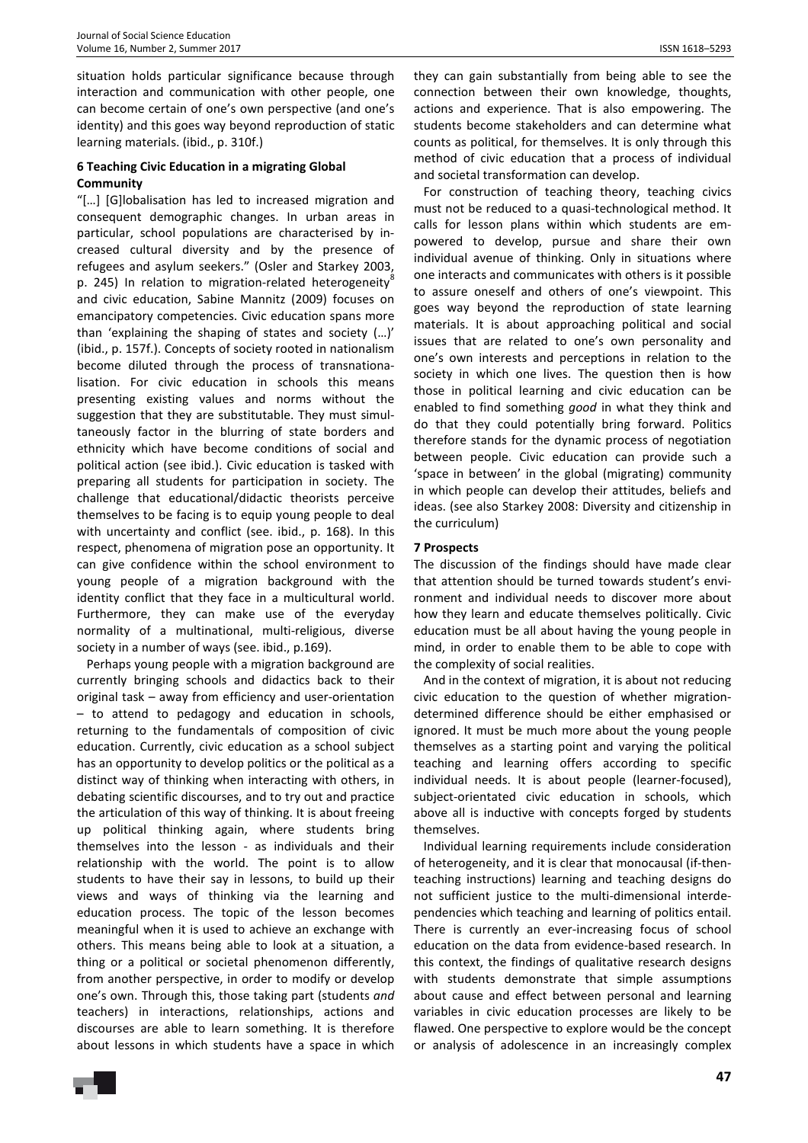situation holds particular significance because through interaction and communication with other people, one can become certain of one's own perspective (and one's identity) and this goes way beyond reproduction of static learning materials. (ibid., p. 310f.)

## **6 Teaching Civic Education in a migrating Global Community**

"[…] [G]lobalisation has led to increased migration and consequent demographic changes. In urban areas in particular, school populations are characterised by increased cultural diversity and by the presence of refugees and asylum seekers." (Osler and Starkey 2003, p. 245) In relation to migration-related heterogeneity<sup>8</sup> and civic education, Sabine Mannitz (2009) focuses on emancipatory competencies. Civic education spans more than 'explaining the shaping of states and society (…)' (ibid., p. 157f.). Concepts of society rooted in nationalism become diluted through the process of transnationalisation. For civic education in schools this means presenting existing values and norms without the suggestion that they are substitutable. They must simultaneously factor in the blurring of state borders and ethnicity which have become conditions of social and political action (see ibid.). Civic education is tasked with preparing all students for participation in society. The challenge that educational/didactic theorists perceive themselves to be facing is to equip young people to deal with uncertainty and conflict (see. ibid., p. 168). In this respect, phenomena of migration pose an opportunity. It can give confidence within the school environment to young people of a migration background with the identity conflict that they face in a multicultural world. Furthermore, they can make use of the everyday normality of a multinational, multi-religious, diverse society in a number of ways (see. ibid., p.169).

Perhaps young people with a migration background are currently bringing schools and didactics back to their original task – away from efficiency and user-orientation – to attend to pedagogy and education in schools, returning to the fundamentals of composition of civic education. Currently, civic education as a school subject has an opportunity to develop politics or the political as a distinct way of thinking when interacting with others, in debating scientific discourses, and to try out and practice the articulation of this way of thinking. It is about freeing up political thinking again, where students bring themselves into the lesson - as individuals and their relationship with the world. The point is to allow students to have their say in lessons, to build up their views and ways of thinking via the learning and education process. The topic of the lesson becomes meaningful when it is used to achieve an exchange with others. This means being able to look at a situation, a thing or a political or societal phenomenon differently, from another perspective, in order to modify or develop one's own. Through this, those taking part (students *and*  teachers) in interactions, relationships, actions and discourses are able to learn something. It is therefore about lessons in which students have a space in which

they can gain substantially from being able to see the connection between their own knowledge, thoughts, actions and experience. That is also empowering. The students become stakeholders and can determine what counts as political, for themselves. It is only through this method of civic education that a process of individual and societal transformation can develop.

For construction of teaching theory, teaching civics must not be reduced to a quasi-technological method. It calls for lesson plans within which students are empowered to develop, pursue and share their own individual avenue of thinking. Only in situations where one interacts and communicates with others is it possible to assure oneself and others of one's viewpoint. This goes way beyond the reproduction of state learning materials. It is about approaching political and social issues that are related to one's own personality and one's own interests and perceptions in relation to the society in which one lives. The question then is how those in political learning and civic education can be enabled to find something *good* in what they think and do that they could potentially bring forward. Politics therefore stands for the dynamic process of negotiation between people. Civic education can provide such a 'space in between' in the global (migrating) community in which people can develop their attitudes, beliefs and ideas. (see also Starkey 2008: Diversity and citizenship in the curriculum)

## **7 Prospects**

The discussion of the findings should have made clear that attention should be turned towards student's environment and individual needs to discover more about how they learn and educate themselves politically. Civic education must be all about having the young people in mind, in order to enable them to be able to cope with the complexity of social realities.

And in the context of migration, it is about not reducing civic education to the question of whether migrationdetermined difference should be either emphasised or ignored. It must be much more about the young people themselves as a starting point and varying the political teaching and learning offers according to specific individual needs. It is about people (learner-focused), subject-orientated civic education in schools, which above all is inductive with concepts forged by students themselves.

Individual learning requirements include consideration of heterogeneity, and it is clear that monocausal (if-thenteaching instructions) learning and teaching designs do not sufficient justice to the multi-dimensional interdependencies which teaching and learning of politics entail. There is currently an ever-increasing focus of school education on the data from evidence-based research. In this context, the findings of qualitative research designs with students demonstrate that simple assumptions about cause and effect between personal and learning variables in civic education processes are likely to be flawed. One perspective to explore would be the concept or analysis of adolescence in an increasingly complex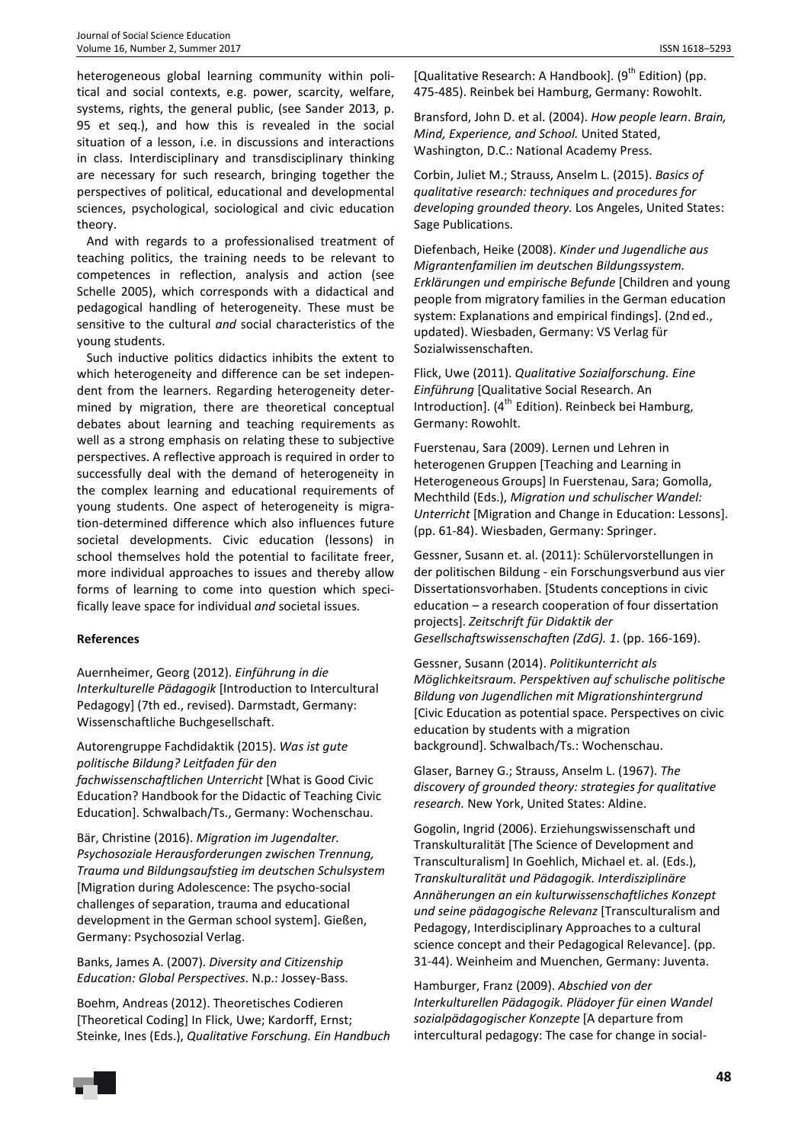heterogeneous global learning community within political and social contexts, e.g. power, scarcity, welfare, systems, rights, the general public, (see Sander 2013, p. 95 et seq.), and how this is revealed in the social situation of a lesson, i.e. in discussions and interactions in class. Interdisciplinary and transdisciplinary thinking are necessary for such research, bringing together the perspectives of political, educational and developmental sciences, psychological, sociological and civic education theory.

And with regards to a professionalised treatment of teaching politics, the training needs to be relevant to competences in reflection, analysis and action (see Schelle 2005), which corresponds with a didactical and pedagogical handling of heterogeneity. These must be sensitive to the cultural *and* social characteristics of the young students.

Such inductive politics didactics inhibits the extent to which heterogeneity and difference can be set independent from the learners. Regarding heterogeneity determined by migration, there are theoretical conceptual debates about learning and teaching requirements as well as a strong emphasis on relating these to subjective perspectives. A reflective approach is required in order to successfully deal with the demand of heterogeneity in the complex learning and educational requirements of young students. One aspect of heterogeneity is migration-determined difference which also influences future societal developments. Civic education (lessons) in school themselves hold the potential to facilitate freer, more individual approaches to issues and thereby allow forms of learning to come into question which specifically leave space for individual *and* societal issues.

## **References**

Auernheimer, Georg (2012). *Einführung in die Interkulturelle Pädagogik* [Introduction to Intercultural Pedagogy] (7th ed., revised). Darmstadt, Germany: Wissenschaftliche Buchgesellschaft.

Autorengruppe Fachdidaktik (2015). *Was ist gute politische Bildung? Leitfaden für den fachwissenschaftlichen Unterricht* [What is Good Civic Education? Handbook for the Didactic of Teaching Civic Education]. Schwalbach/Ts., Germany: Wochenschau.

Bär, Christine (2016). *Migration im Jugendalter. Psychosoziale Herausforderungen zwischen Trennung, Trauma und Bildungsaufstieg im deutschen Schulsystem* [Migration during Adolescence: The psycho-social challenges of separation, trauma and educational development in the German school system]. Gießen, Germany: Psychosozial Verlag.

Banks, James A. (2007). *Diversity and Citizenship Education: Global Perspectives*. N.p.: Jossey-Bass.

Boehm, Andreas (2012). Theoretisches Codieren [Theoretical Coding] In Flick, Uwe; Kardorff, Ernst; Steinke, Ines (Eds.), *Qualitative Forschung. Ein Handbuch*

[Qualitative Research: A Handbook].  $(9<sup>th</sup>$  Edition) (pp. 475-485). Reinbek bei Hamburg, Germany: Rowohlt.

Bransford, John D. et al. (2004). *How people learn*. *Brain, Mind, Experience, and School.* United Stated, Washington, D.C.: National Academy Press.

Corbin, Juliet M.; Strauss, Anselm L. (2015). *Basics of qualitative research: techniques and procedures for developing grounded theory.* Los Angeles, United States: Sage Publications.

Diefenbach, Heike (2008). *Kinder und Jugendliche aus Migrantenfamilien im deutschen Bildungssystem. Erklärungen und empirische Befunde* [Children and young people from migratory families in the German education system: Explanations and empirical findings]. (2nd ed., updated). Wiesbaden, Germany: VS Verlag für Sozialwissenschaften.

Flick, Uwe (2011). *Qualitative Sozialforschung. Eine Einführung* [Qualitative Social Research. An Introduction].  $(4^{th}$  Edition). Reinbeck bei Hamburg, Germany: Rowohlt.

Fuerstenau, Sara (2009). Lernen und Lehren in heterogenen Gruppen [Teaching and Learning in Heterogeneous Groups] In Fuerstenau, Sara; Gomolla, Mechthild (Eds.), *Migration und schulischer Wandel: Unterricht* [Migration and Change in Education: Lessons]. (pp. 61-84). Wiesbaden, Germany: Springer.

Gessner, Susann et. al. (2011): Schülervorstellungen in der politischen Bildung - ein Forschungsverbund aus vier Dissertationsvorhaben. [Students conceptions in civic education – a research cooperation of four dissertation projects]. *Zeitschrift für Didaktik der Gesellschaftswissenschaften (ZdG). 1*. (pp. 166-169).

Gessner, Susann (2014). *Politikunterricht als Möglichkeitsraum. Perspektiven auf schulische politische Bildung von Jugendlichen mit Migrationshintergrund* [Civic Education as potential space. Perspectives on civic education by students with a migration background]. Schwalbach/Ts.: Wochenschau.

Glaser, Barney G.; Strauss, Anselm L. (1967). *The discovery of grounded theory: strategies for qualitative research.* New York, United States: Aldine.

Gogolin, Ingrid (2006). Erziehungswissenschaft und Transkulturalität [The Science of Development and Transculturalism] In Goehlich, Michael et. al. (Eds.), *Transkulturalität und Pädagogik. Interdisziplinäre Annäherungen an ein kulturwissenschaftliches Konzept und seine pädagogische Relevanz* [Transculturalism and Pedagogy, Interdisciplinary Approaches to a cultural science concept and their Pedagogical Relevance]. (pp. 31-44). Weinheim and Muenchen, Germany: Juventa.

Hamburger, Franz (2009). *Abschied von der Interkulturellen Pädagogik. Plädoyer für einen Wandel sozialpädagogischer Konzepte* [A departure from intercultural pedagogy: The case for change in social-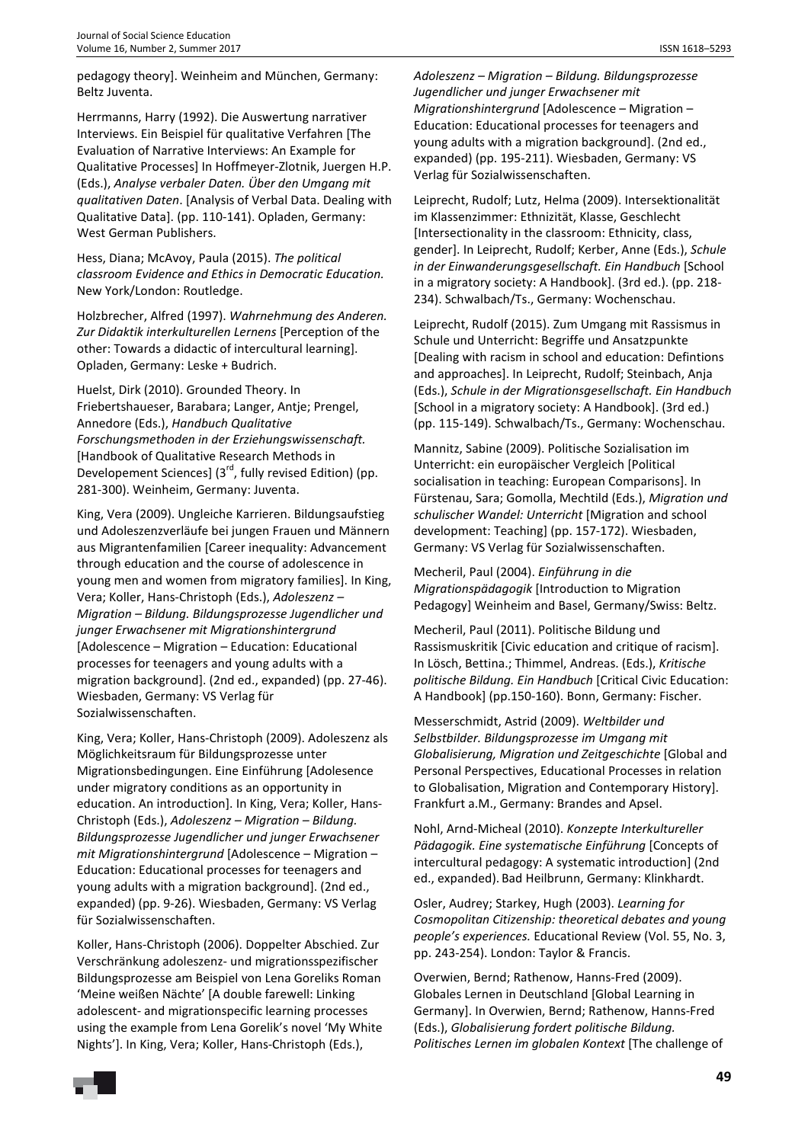pedagogy theory]. Weinheim and München, Germany: Beltz Juventa.

Herrmanns, Harry (1992). Die Auswertung narrativer Interviews. Ein Beispiel für qualitative Verfahren [The Evaluation of Narrative Interviews: An Example for Qualitative Processes] In Hoffmeyer-Zlotnik, Juergen H.P. (Eds.), *Analyse verbaler Daten. Über den Umgang mit qualitativen Daten*. [Analysis of Verbal Data. Dealing with Qualitative Data]. (pp. 110-141). Opladen, Germany: West German Publishers.

Hess, Diana; McAvoy, Paula (2015). *The political classroom Evidence and Ethics in Democratic Education.*  New York/London: Routledge.

Holzbrecher, Alfred (1997). *Wahrnehmung des Anderen. Zur Didaktik interkulturellen Lernens* [Perception of the other: Towards a didactic of intercultural learning]. Opladen, Germany: Leske + Budrich.

Huelst, Dirk (2010). Grounded Theory. In Friebertshaueser, Barabara; Langer, Antje; Prengel, Annedore (Eds.), *Handbuch Qualitative Forschungsmethoden in der Erziehungswissenschaft.* [Handbook of Qualitative Research Methods in Developement Sciences] (3<sup>rd</sup>, fully revised Edition) (pp. 281-300). Weinheim, Germany: Juventa.

King, Vera (2009). Ungleiche Karrieren. Bildungsaufstieg und Adoleszenzverläufe bei jungen Frauen und Männern aus Migrantenfamilien [Career inequality: Advancement through education and the course of adolescence in young men and women from migratory families]. In King, Vera; Koller, Hans-Christoph (Eds.), *Adoleszenz – Migration – Bildung. Bildungsprozesse Jugendlicher und junger Erwachsener mit Migrationshintergrund* [Adolescence – Migration – Education: Educational processes for teenagers and young adults with a migration background]. (2nd ed., expanded) (pp. 27-46). Wiesbaden, Germany: VS Verlag für Sozialwissenschaften.

King, Vera; Koller, Hans-Christoph (2009). Adoleszenz als Möglichkeitsraum für Bildungsprozesse unter Migrationsbedingungen. Eine Einführung [Adolesence under migratory conditions as an opportunity in education. An introduction]. In King, Vera; Koller, Hans-Christoph (Eds.), *Adoleszenz – Migration – Bildung. Bildungsprozesse Jugendlicher und junger Erwachsener mit Migrationshintergrund* [Adolescence – Migration – Education: Educational processes for teenagers and young adults with a migration background]. (2nd ed., expanded) (pp. 9-26). Wiesbaden, Germany: VS Verlag für Sozialwissenschaften.

Koller, Hans-Christoph (2006). Doppelter Abschied. Zur Verschränkung adoleszenz- und migrationsspezifischer Bildungsprozesse am Beispiel von Lena Goreliks Roman 'Meine weißen Nächte' [A double farewell: Linking adolescent- and migrationspecific learning processes using the example from Lena Gorelik's novel 'My White Nights']. In King, Vera; Koller, Hans-Christoph (Eds.),

*Adoleszenz – Migration – Bildung. Bildungsprozesse Jugendlicher und junger Erwachsener mit Migrationshintergrund* [Adolescence – Migration – Education: Educational processes for teenagers and young adults with a migration background]. (2nd ed., expanded) (pp. 195-211). Wiesbaden, Germany: VS Verlag für Sozialwissenschaften.

Leiprecht, Rudolf; Lutz, Helma (2009). Intersektionalität im Klassenzimmer: Ethnizität, Klasse, Geschlecht [Intersectionality in the classroom: Ethnicity, class, gender]. In Leiprecht, Rudolf; Kerber, Anne (Eds.), *Schule in der Einwanderungsgesellschaft. Ein Handbuch* [School in a migratory society: A Handbook]. (3rd ed.). (pp. 218- 234). Schwalbach/Ts., Germany: Wochenschau.

Leiprecht, Rudolf (2015). Zum Umgang mit Rassismus in Schule und Unterricht: Begriffe und Ansatzpunkte [Dealing with racism in school and education: Defintions and approaches]. In Leiprecht, Rudolf; Steinbach, Anja (Eds.), *Schule in der Migrationsgesellschaft. Ein Handbuch* [School in a migratory society: A Handbook]. (3rd ed.) (pp. 115-149). Schwalbach/Ts., Germany: Wochenschau.

Mannitz, Sabine (2009). Politische Sozialisation im Unterricht: ein europäischer Vergleich [Political socialisation in teaching: European Comparisons]. In Fürstenau, Sara; Gomolla, Mechtild (Eds.), *Migration und schulischer Wandel: Unterricht* [Migration and school development: Teaching] (pp. 157-172). Wiesbaden, Germany: VS Verlag für Sozialwissenschaften.

Mecheril, Paul (2004). *Einführung in die Migrationspädagogik* [Introduction to Migration Pedagogy] Weinheim and Basel, Germany/Swiss: Beltz.

Mecheril, Paul (2011). Politische Bildung und Rassismuskritik [Civic education and critique of racism]. In Lösch, Bettina.; Thimmel, Andreas. (Eds.), *Kritische politische Bildung. Ein Handbuch* [Critical Civic Education: A Handbook] (pp.150-160). Bonn, Germany: Fischer.

Messerschmidt, Astrid (2009). *Weltbilder und Selbstbilder. Bildungsprozesse im Umgang mit Globalisierung, Migration und Zeitgeschichte* [Global and Personal Perspectives, Educational Processes in relation to Globalisation, Migration and Contemporary History]. Frankfurt a.M., Germany: Brandes and Apsel.

Nohl, Arnd-Micheal (2010). *Konzepte Interkultureller Pädagogik. Eine systematische Einführung* [Concepts of intercultural pedagogy: A systematic introduction] (2nd ed., expanded). Bad Heilbrunn, Germany: Klinkhardt.

Osler, Audrey; Starkey, Hugh (2003). *Learning for Cosmopolitan Citizenship: theoretical debates and young people's experiences.* Educational Review (Vol. 55, No. 3, pp. 243-254). London: Taylor & Francis.

Overwien, Bernd; Rathenow, Hanns-Fred (2009). Globales Lernen in Deutschland [Global Learning in Germany]. In Overwien, Bernd; Rathenow, Hanns-Fred (Eds.), *Globalisierung fordert politische Bildung. Politisches Lernen im globalen Kontext* [The challenge of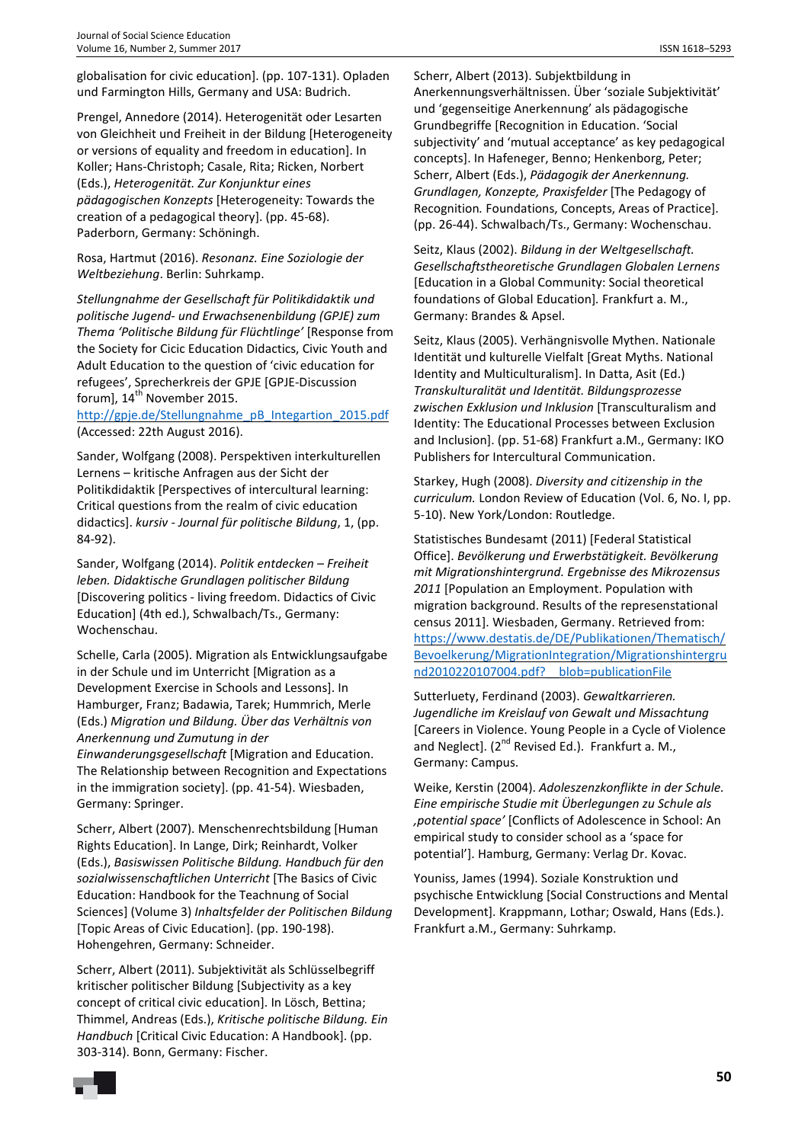Prengel, Annedore (2014). Heterogenität oder Lesarten von Gleichheit und Freiheit in der Bildung [Heterogeneity or versions of equality and freedom in education]. In Koller; Hans-Christoph; Casale, Rita; Ricken, Norbert (Eds.), *Heterogenität. Zur Konjunktur eines pädagogischen Konzepts* [Heterogeneity: Towards the creation of a pedagogical theory]. (pp. 45-68). Paderborn, Germany: Schöningh.

Rosa, Hartmut (2016). *Resonanz. Eine Soziologie der Weltbeziehung*. Berlin: Suhrkamp.

*Stellungnahme der Gesellschaft für Politikdidaktik und politische Jugend- und Erwachsenenbildung (GPJE) zum Thema 'Politische Bildung für Flüchtlinge'* [Response from the Society for Cicic Education Didactics, Civic Youth and Adult Education to the question of 'civic education for refugees', Sprecherkreis der GPJE [GPJE-Discussion forum],  $14<sup>th</sup>$  November 2015.

http://gpje.de/Stellungnahme\_pB\_Integartion\_2015.pdf (Accessed: 22th August 2016).

Sander, Wolfgang (2008). Perspektiven interkulturellen Lernens – kritische Anfragen aus der Sicht der Politikdidaktik [Perspectives of intercultural learning: Critical questions from the realm of civic education didactics]. *kursiv - Journal für politische Bildung*, 1, (pp. 84-92).

Sander, Wolfgang (2014). *Politik entdecken – Freiheit leben. Didaktische Grundlagen politischer Bildung* [Discovering politics - living freedom. Didactics of Civic Education] (4th ed.), Schwalbach/Ts., Germany: Wochenschau.

Schelle, Carla (2005). Migration als Entwicklungsaufgabe in der Schule und im Unterricht [Migration as a Development Exercise in Schools and Lessons]. In Hamburger, Franz; Badawia, Tarek; Hummrich, Merle (Eds.) *Migration und Bildung. Über das Verhältnis von Anerkennung und Zumutung in der* 

*Einwanderungsgesellschaft* [Migration and Education. The Relationship between Recognition and Expectations in the immigration society]. (pp. 41-54). Wiesbaden, Germany: Springer.

Scherr, Albert (2007). Menschenrechtsbildung [Human Rights Education]. In Lange, Dirk; Reinhardt, Volker (Eds.), *Basiswissen Politische Bildung. Handbuch für den sozialwissenschaftlichen Unterricht* [The Basics of Civic Education: Handbook for the Teachnung of Social Sciences] (Volume 3) *Inhaltsfelder der Politischen Bildung* [Topic Areas of Civic Education]. (pp. 190-198). Hohengehren, Germany: Schneider.

Scherr, Albert (2011). Subjektivität als Schlüsselbegriff kritischer politischer Bildung [Subjectivity as a key concept of critical civic education]. In Lösch, Bettina; Thimmel, Andreas (Eds.), *Kritische politische Bildung. Ein Handbuch* [Critical Civic Education: A Handbook]. (pp. 303-314). Bonn, Germany: Fischer.

Scherr, Albert (2013). Subjektbildung in Anerkennungsverhältnissen. Über 'soziale Subjektivität' und 'gegenseitige Anerkennung' als pädagogische Grundbegriffe [Recognition in Education. 'Social subjectivity' and 'mutual acceptance' as key pedagogical concepts]. In Hafeneger, Benno; Henkenborg, Peter; Scherr, Albert (Eds.), *Pädagogik der Anerkennung. Grundlagen, Konzepte, Praxisfelder* [The Pedagogy of Recognition*.* Foundations, Concepts, Areas of Practice]. (pp. 26-44). Schwalbach/Ts., Germany: Wochenschau.

Seitz, Klaus (2002). *Bildung in der Weltgesellschaft. Gesellschaftstheoretische Grundlagen Globalen Lernens*  [Education in a Global Community: Social theoretical foundations of Global Education]*.* Frankfurt a. M., Germany: Brandes & Apsel.

Seitz, Klaus (2005). Verhängnisvolle Mythen. Nationale Identität und kulturelle Vielfalt [Great Myths. National Identity and Multiculturalism]. In Datta, Asit (Ed.) *Transkulturalität und Identität. Bildungsprozesse zwischen Exklusion und Inklusion* [Transculturalism and Identity: The Educational Processes between Exclusion and Inclusion]. (pp. 51-68) Frankfurt a.M., Germany: IKO Publishers for Intercultural Communication.

Starkey, Hugh (2008). *Diversity and citizenship in the curriculum.* London Review of Education (Vol. 6, No. I, pp. 5-10). New York/London: Routledge.

Statistisches Bundesamt (2011) [Federal Statistical Office]. *Bevölkerung und Erwerbstätigkeit. Bevölkerung mit Migrationshintergrund. Ergebnisse des Mikrozensus 2011* [Population an Employment. Population with migration background. Results of the represenstational census 2011]. Wiesbaden, Germany. Retrieved from: https://www.destatis.de/DE/Publikationen/Thematisch/ Bevoelkerung/MigrationIntegration/Migrationshintergru nd2010220107004.pdf? blob=publicationFile

Sutterluety, Ferdinand (2003). *Gewaltkarrieren. Jugendliche im Kreislauf von Gewalt und Missachtung* [Careers in Violence. Young People in a Cycle of Violence and Neglect]. (2<sup>nd</sup> Revised Ed.). Frankfurt a. M., Germany: Campus.

Weike, Kerstin (2004). *Adoleszenzkonflikte in der Schule. Eine empirische Studie mit Überlegungen zu Schule als 'potential space'* [Conflicts of Adolescence in School: An empirical study to consider school as a 'space for potential']. Hamburg, Germany: Verlag Dr. Kovac.

Youniss, James (1994). Soziale Konstruktion und psychische Entwicklung [Social Constructions and Mental Development]. Krappmann, Lothar; Oswald, Hans (Eds.). Frankfurt a.M., Germany: Suhrkamp.